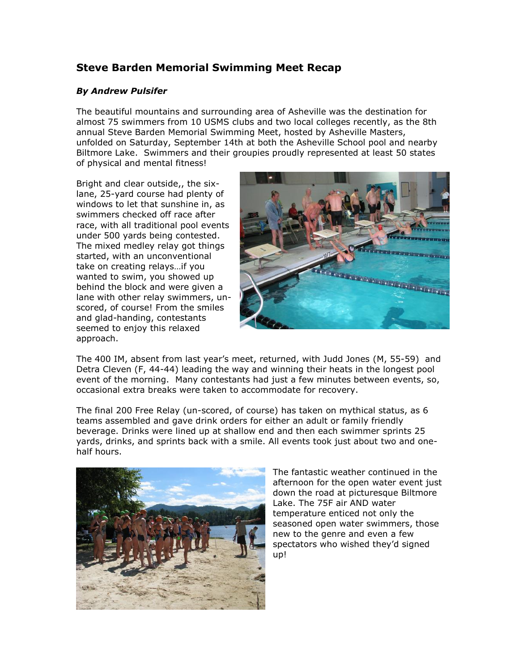## **Steve Barden Memorial Swimming Meet Recap**

## *By Andrew Pulsifer*

The beautiful mountains and surrounding area of Asheville was the destination for almost 75 swimmers from 10 USMS clubs and two local colleges recently, as the 8th annual Steve Barden Memorial Swimming Meet, hosted by Asheville Masters, unfolded on Saturday, September 14th at both the Asheville School pool and nearby Biltmore Lake. Swimmers and their groupies proudly represented at least 50 states of physical and mental fitness!

Bright and clear outside,, the sixlane, 25-yard course had plenty of windows to let that sunshine in, as swimmers checked off race after race, with all traditional pool events under 500 yards being contested. The mixed medley relay got things started, with an unconventional take on creating relays…if you wanted to swim, you showed up behind the block and were given a lane with other relay swimmers, unscored, of course! From the smiles and glad-handing, contestants seemed to enjoy this relaxed approach.



The 400 IM, absent from last year's meet, returned, with Judd Jones (M, 55-59) and Detra Cleven (F, 44-44) leading the way and winning their heats in the longest pool event of the morning. Many contestants had just a few minutes between events, so, occasional extra breaks were taken to accommodate for recovery.

The final 200 Free Relay (un-scored, of course) has taken on mythical status, as 6 teams assembled and gave drink orders for either an adult or family friendly beverage. Drinks were lined up at shallow end and then each swimmer sprints 25 yards, drinks, and sprints back with a smile. All events took just about two and onehalf hours.



The fantastic weather continued in the afternoon for the open water event just down the road at picturesque Biltmore Lake. The 75F air AND water temperature enticed not only the seasoned open water swimmers, those new to the genre and even a few spectators who wished they'd signed up!